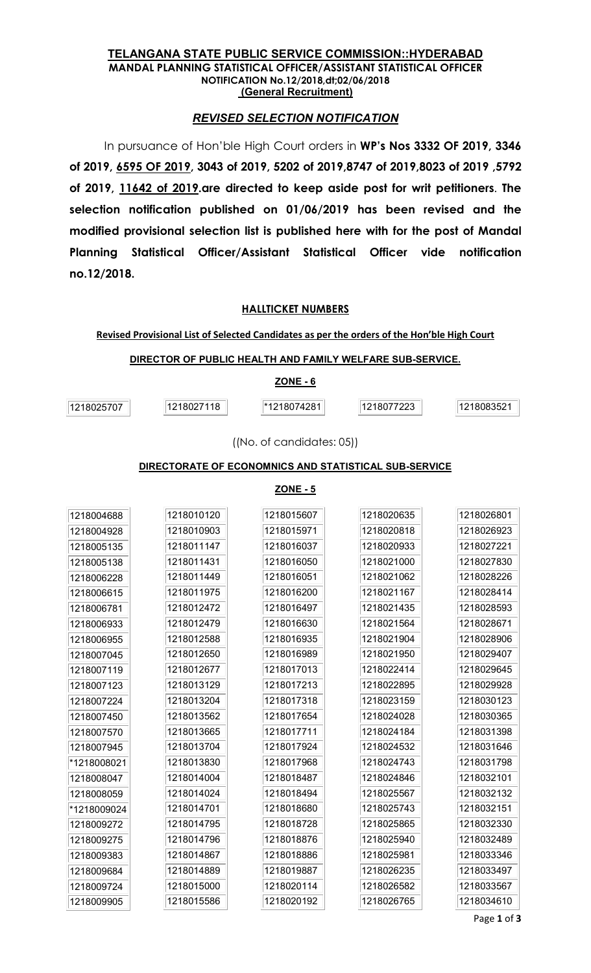#### TELANGANA STATE PUBLIC SERVICE COMMISSION::HYDERABAD MANDAL PLANNING STATISTICAL OFFICER/ASSISTANT STATISTICAL OFFICER NOTIFICATION No.12/2018,dt;02/06/2018 (General Recruitment)

# REVISED SELECTION NOTIFICATION

In pursuance of Hon'ble High Court orders in WP's Nos 3332 OF 2019, 3346 of 2019, 6595 OF 2019, 3043 of 2019, 5202 of 2019,8747 of 2019,8023 of 2019 ,5792 of 2019, 11642 of 2019.are directed to keep aside post for writ petitioners. The selection notification published on 01/06/2019 has been revised and the modified provisional selection list is published here with for the post of Mandal Planning Statistical Officer/Assistant Statistical Officer vide notification no.12/2018.

## HALLTICKET NUMBERS

Revised Provisional List of Selected Candidates as per the orders of the Hon'ble High Court

| DIRECTOR OF PUBLIC HEALTH AND FAMILY WELFARE SUB-SERVICE. |            |             |            |            |
|-----------------------------------------------------------|------------|-------------|------------|------------|
|                                                           |            | $ZONE - 6$  |            |            |
| 1218025707                                                | 1218027118 | 1218074281™ | 1218077223 | 1218083521 |

((No. of candidates: 05))

### DIRECTORATE OF ECONOMNICS AND STATISTICAL SUB-SERVICE

**ZONE - 5** 

| 1218004688  | 1218010120 | 1218015607 | 1218020635 | 1218026801 |
|-------------|------------|------------|------------|------------|
| 1218004928  | 1218010903 | 1218015971 | 1218020818 | 1218026923 |
| 1218005135  | 1218011147 | 1218016037 | 1218020933 | 1218027221 |
| 1218005138  | 1218011431 | 1218016050 | 1218021000 | 1218027830 |
| 1218006228  | 1218011449 | 1218016051 | 1218021062 | 1218028226 |
| 1218006615  | 1218011975 | 1218016200 | 1218021167 | 1218028414 |
| 1218006781  | 1218012472 | 1218016497 | 1218021435 | 1218028593 |
| 1218006933  | 1218012479 | 1218016630 | 1218021564 | 1218028671 |
| 1218006955  | 1218012588 | 1218016935 | 1218021904 | 1218028906 |
| 1218007045  | 1218012650 | 1218016989 | 1218021950 | 1218029407 |
| 1218007119  | 1218012677 | 1218017013 | 1218022414 | 1218029645 |
| 1218007123  | 1218013129 | 1218017213 | 1218022895 | 1218029928 |
| 1218007224  | 1218013204 | 1218017318 | 1218023159 | 1218030123 |
| 1218007450  | 1218013562 | 1218017654 | 1218024028 | 1218030365 |
| 1218007570  | 1218013665 | 1218017711 | 1218024184 | 1218031398 |
| 1218007945  | 1218013704 | 1218017924 | 1218024532 | 1218031646 |
| *1218008021 | 1218013830 | 1218017968 | 1218024743 | 1218031798 |
| 1218008047  | 1218014004 | 1218018487 | 1218024846 | 1218032101 |
| 1218008059  | 1218014024 | 1218018494 | 1218025567 | 1218032132 |
| *1218009024 | 1218014701 | 1218018680 | 1218025743 | 1218032151 |
| 1218009272  | 1218014795 | 1218018728 | 1218025865 | 1218032330 |
| 1218009275  | 1218014796 | 1218018876 | 1218025940 | 1218032489 |
| 1218009383  | 1218014867 | 1218018886 | 1218025981 | 1218033346 |
| 1218009684  | 1218014889 | 1218019887 | 1218026235 | 1218033497 |
| 1218009724  | 1218015000 | 1218020114 | 1218026582 | 1218033567 |
| 1218009905  | 1218015586 | 1218020192 | 1218026765 | 1218034610 |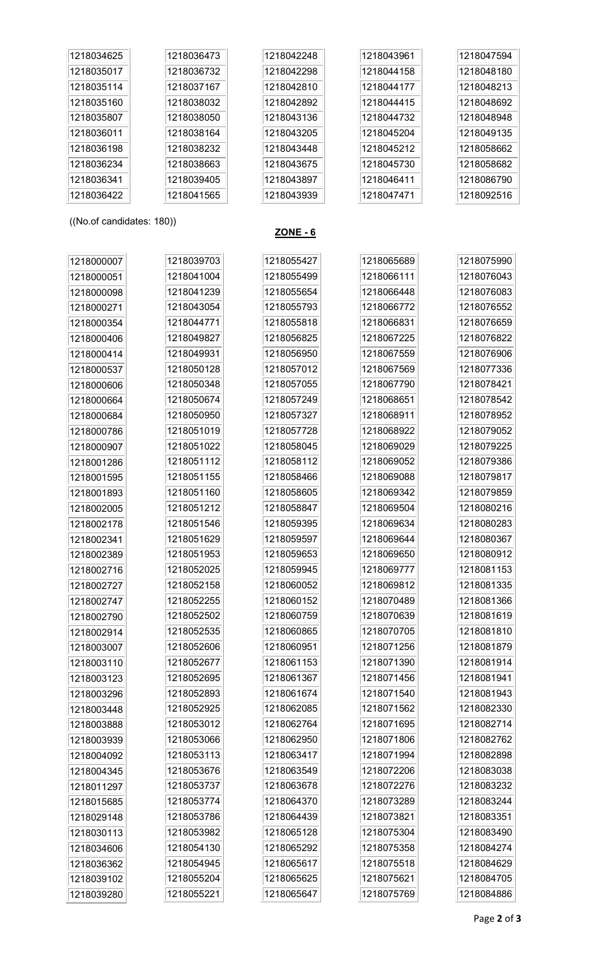| 1218034625                | 1218036473 | 1218042248      | 1218043961 | 1218047594 |
|---------------------------|------------|-----------------|------------|------------|
| 1218035017                | 1218036732 | 1218042298      | 1218044158 | 1218048180 |
| 1218035114                | 1218037167 | 1218042810      | 1218044177 | 1218048213 |
| 1218035160                | 1218038032 | 1218042892      | 1218044415 | 1218048692 |
| 1218035807                | 1218038050 | 1218043136      | 1218044732 | 1218048948 |
| 1218036011                | 1218038164 | 1218043205      | 1218045204 | 1218049135 |
| 1218036198                | 1218038232 | 1218043448      | 1218045212 | 1218058662 |
| 1218036234                | 1218038663 | 1218043675      | 1218045730 | 1218058682 |
| 1218036341                | 1218039405 | 1218043897      | 1218046411 | 1218086790 |
| 1218036422                | 1218041565 | 1218043939      | 1218047471 | 1218092516 |
|                           |            |                 |            |            |
| ((No.of candidates: 180)) |            | <b>ZONE - 6</b> |            |            |
|                           |            |                 |            |            |
| 1218000007                | 1218039703 | 1218055427      | 1218065689 | 1218075990 |
| 1218000051                | 1218041004 | 1218055499      | 1218066111 | 1218076043 |
| 1218000098                | 1218041239 | 1218055654      | 1218066448 | 1218076083 |
| 1218000271                | 1218043054 | 1218055793      | 1218066772 | 1218076552 |
| 1218000354                | 1218044771 | 1218055818      | 1218066831 | 1218076659 |
| 1218000406                | 1218049827 | 1218056825      | 1218067225 | 1218076822 |
| 1218000414                | 1218049931 | 1218056950      | 1218067559 | 1218076906 |
| 1218000537                | 1218050128 | 1218057012      | 1218067569 | 1218077336 |
| 1218000606                | 1218050348 | 1218057055      | 1218067790 | 1218078421 |
| 1218000664                | 1218050674 | 1218057249      | 1218068651 | 1218078542 |
| 1218000684                | 1218050950 | 1218057327      | 1218068911 | 1218078952 |
| 1218000786                | 1218051019 | 1218057728      | 1218068922 | 1218079052 |
| 1218000907                | 1218051022 | 1218058045      | 1218069029 | 1218079225 |
| 1218001286                | 1218051112 | 1218058112      | 1218069052 | 1218079386 |
| 1218001595                | 1218051155 | 1218058466      | 1218069088 | 1218079817 |
| 1218001893                | 1218051160 | 1218058605      | 1218069342 | 1218079859 |
| 1218002005                | 1218051212 | 1218058847      | 1218069504 | 1218080216 |
| 1218002178                | 1218051546 | 1218059395      | 1218069634 | 1218080283 |
| 1218002341                | 1218051629 | 1218059597      | 1218069644 | 1218080367 |
| 1218002389                | 1218051953 | 1218059653      | 1218069650 | 1218080912 |
| 1218002716                | 1218052025 | 1218059945      | 1218069777 | 1218081153 |
| 1218002727                | 1218052158 | 1218060052      | 1218069812 | 1218081335 |
| 1218002747                | 1218052255 | 1218060152      | 1218070489 | 1218081366 |
| 1218002790                | 1218052502 | 1218060759      | 1218070639 | 1218081619 |
| 1218002914                | 1218052535 | 1218060865      | 1218070705 | 1218081810 |
| 1218003007                | 1218052606 | 1218060951      | 1218071256 | 1218081879 |
| 1218003110                | 1218052677 | 1218061153      | 1218071390 | 1218081914 |
| 1218003123                | 1218052695 | 1218061367      | 1218071456 | 1218081941 |
| 1218003296                | 1218052893 | 1218061674      | 1218071540 | 1218081943 |
| 1218003448                | 1218052925 | 1218062085      | 1218071562 | 1218082330 |
| 1218003888                | 1218053012 | 1218062764      | 1218071695 | 1218082714 |
| 1218003939                | 1218053066 | 1218062950      | 1218071806 | 1218082762 |
| 1218004092                | 1218053113 | 1218063417      | 1218071994 | 1218082898 |
| 1218004345                | 1218053676 | 1218063549      | 1218072206 | 1218083038 |
| 1218011297                | 1218053737 | 1218063678      | 1218072276 | 1218083232 |
| 1218015685                | 1218053774 | 1218064370      | 1218073289 | 1218083244 |
| 1218029148                | 1218053786 | 1218064439      | 1218073821 | 1218083351 |
| 1218030113                | 1218053982 | 1218065128      | 1218075304 | 1218083490 |
| 1218034606                | 1218054130 | 1218065292      | 1218075358 | 1218084274 |
| 1218036362                | 1218054945 | 1218065617      | 1218075518 | 1218084629 |
| 1218039102                | 1218055204 | 1218065625      | 1218075621 | 1218084705 |
| 1218039280                | 1218055221 | 1218065647      | 1218075769 | 1218084886 |
|                           |            |                 |            |            |